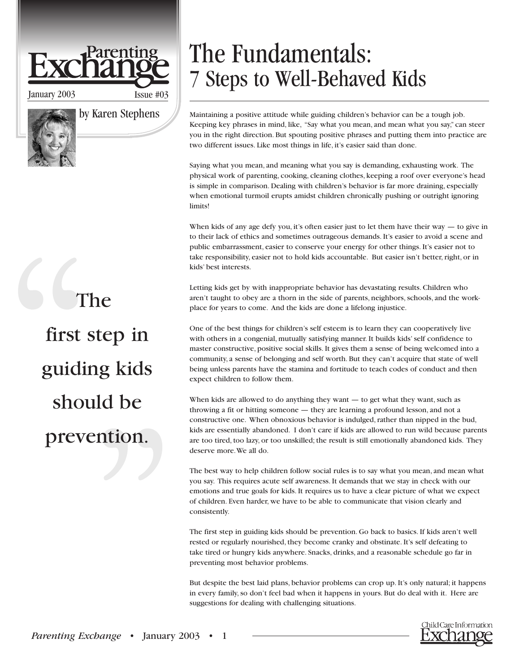# arenting

January 2003 Issue #03

by Karen Stephens

The first step in guiding kids should be prevention.

## The Fundamentals: 7 Steps to Well-Behaved Kids

Maintaining a positive attitude while guiding children's behavior can be a tough job. Keeping key phrases in mind, like, "Say what you mean, and mean what you say," can steer you in the right direction. But spouting positive phrases and putting them into practice are two different issues. Like most things in life, it's easier said than done.

Saying what you mean, and meaning what you say is demanding, exhausting work. The physical work of parenting, cooking, cleaning clothes, keeping a roof over everyone's head is simple in comparison. Dealing with children's behavior is far more draining, especially when emotional turmoil erupts amidst children chronically pushing or outright ignoring limits!

When kids of any age defy you, it's often easier just to let them have their way  $-$  to give in to their lack of ethics and sometimes outrageous demands. It's easier to avoid a scene and public embarrassment, easier to conserve your energy for other things. It's easier not to take responsibility, easier not to hold kids accountable. But easier isn't better, right, or in kids' best interests.

Letting kids get by with inappropriate behavior has devastating results. Children who aren't taught to obey are a thorn in the side of parents, neighbors, schools, and the workplace for years to come. And the kids are done a lifelong injustice.

One of the best things for children's self esteem is to learn they can cooperatively live with others in a congenial, mutually satisfying manner. It builds kids' self confidence to master constructive, positive social skills. It gives them a sense of being welcomed into a community, a sense of belonging and self worth. But they can't acquire that state of well being unless parents have the stamina and fortitude to teach codes of conduct and then expect children to follow them.

When kids are allowed to do anything they want — to get what they want, such as throwing a fit or hitting someone — they are learning a profound lesson, and not a constructive one. When obnoxious behavior is indulged, rather than nipped in the bud, kids are essentially abandoned. I don't care if kids are allowed to run wild because parents are too tired, too lazy, or too unskilled; the result is still emotionally abandoned kids. They deserve more.We all do.

The best way to help children follow social rules is to say what you mean, and mean what you say. This requires acute self awareness. It demands that we stay in check with our emotions and true goals for kids. It requires us to have a clear picture of what we expect of children. Even harder, we have to be able to communicate that vision clearly and consistently.

The first step in guiding kids should be prevention. Go back to basics. If kids aren't well rested or regularly nourished, they become cranky and obstinate. It's self defeating to take tired or hungry kids anywhere. Snacks, drinks, and a reasonable schedule go far in preventing most behavior problems.

But despite the best laid plans, behavior problems can crop up. It's only natural; it happens in every family, so don't feel bad when it happens in yours. But do deal with it. Here are suggestions for dealing with challenging situations.